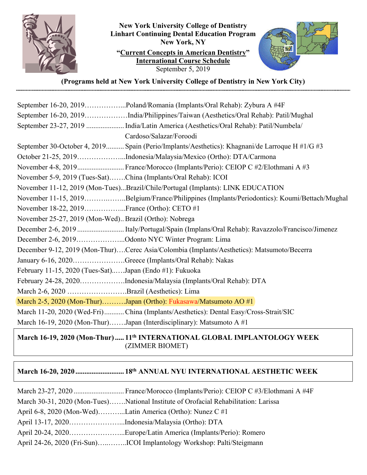

**New York University College of Dentistry Linhart Continuing Dental Education Program New York, NY "Current Concepts in American Dentistry" International Course Schedule**  September 5, 2019



**(Programs held at New York University College of Dentistry in New York City)** 

| September 16-20, 2019Poland/Romania (Implants/Oral Rehab): Zybura A #4F                        |
|------------------------------------------------------------------------------------------------|
| September 16-20, 2019India/Philippines/Taiwan (Aesthetics/Oral Rehab): Patil/Mughal            |
| September 23-27, 2019  India/Latin America (Aesthetics/Oral Rehab): Patil/Numbela/             |
| Cardoso/Salazar/Foroodi                                                                        |
| September 30-October 4, 2019 Spain (Perio/Implants/Aesthetics): Khagnani/de Larroque H #1/G #3 |
| October 21-25, 2019Indonesia/Malaysia/Mexico (Ortho): DTA/Carmona                              |
| November 4-8, 2019 France/Morocco (Implants/Perio): CEIOP C #2/Elothmani A #3                  |
| November 5-9, 2019 (Tues-Sat)China (Implants/Oral Rehab): ICOI                                 |
| November 11-12, 2019 (Mon-Tues)Brazil/Chile/Portugal (Implants): LINK EDUCATION                |
| November 11-15, 2019Belgium/France/Philippines (Implants/Periodontics): Koumi/Bettach/Mughal   |
| November 18-22, 2019France (Ortho): CETO #1                                                    |
| November 25-27, 2019 (Mon-Wed) Brazil (Ortho): Nobrega                                         |
| December 2-6, 2019 Italy/Portugal/Spain (Implans/Oral Rehab): Ravazzolo/Francisco/Jimenez      |
| December 2-6, 2019Odonto NYC Winter Program: Lima                                              |
| December 9-12, 2019 (Mon-Thur)Cerec Asia/Colombia (Implants/Aesthetics): Matsumoto/Becerra     |
| January 6-16, 2020Greece (Implants/Oral Rehab): Nakas                                          |
| February 11-15, 2020 (Tues-Sat)Japan (Endo #1): Fukuoka                                        |
| February 24-28, 2020Indonesia/Malaysia (Implants/Oral Rehab): DTA                              |
| March 2-6, 2020 Brazil (Aesthetics): Lima                                                      |
| March 2-5, 2020 (Mon-Thur)Japan (Ortho): Fukasawa/Matsumoto AO #1                              |
| March 11-20, 2020 (Wed-Fri) China (Implants/Aesthetics): Dental Easy/Cross-Strait/SIC          |
| March 16-19, 2020 (Mon-Thur)Japan (Interdisciplinary): Matsumoto A #1                          |

## March 16-19, 2020 (Mon-Thur) ..... 11<sup>th</sup> INTERNATIONAL GLOBAL IMPLANTOLOGY WEEK (ZIMMER BIOMET)

# **March 16-20, 2020 ........................... 18th ANNUAL NYU INTERNATIONAL AESTHETIC WEEK**

|                                                  | March 30-31, 2020 (Mon-Tues)National Institute of Orofacial Rehabilitation: Larissa |
|--------------------------------------------------|-------------------------------------------------------------------------------------|
|                                                  | April 6-8, 2020 (Mon-Wed)Latin America (Ortho): Nunez C #1                          |
| April 13-17, 2020Indonesia/Malaysia (Ortho): DTA |                                                                                     |
|                                                  | April 20-24, 2020Europe/Latin America (Implants/Perio): Romero                      |
|                                                  |                                                                                     |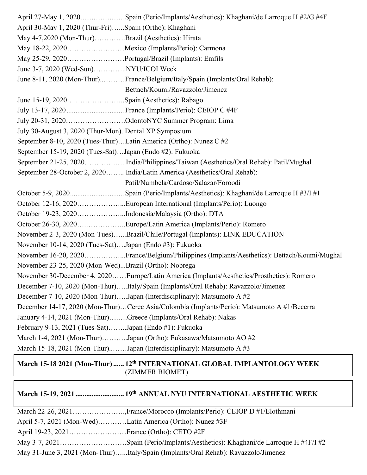April 27-May 1, 2020 ........................ Spain (Perio/Implants/Aesthetics): Khaghani/de Larroque H #2/G #4F April 30-May 1, 2020 (Thur-Fri)…...Spain (Ortho): Khaghani May 4-7,2020 (Mon-Thur)………….Brazil (Aesthetics): Hirata May 18-22, 2020……………………Mexico (Implants/Perio): Carmona May 25-29, 2020……………………Portugal/Brazil (Implants): Emfils June 3-7, 2020 (Wed-Sun)…………..NYU/ICOI Week June 8-11, 2020 (Mon-Thur)..………France/Belgium/Italy/Spain (Implants/Oral Rehab): Bettach/Koumi/Ravazzolo/Jimenez June 15-19, 2020…..………………..Spain (Aesthetics): Rabago July 13-17, 2020 ................................ France (Implants/Perio): CEIOP C #4F July 20-31, 2020…………………….OdontoNYC Summer Program: Lima July 30-August 3, 2020 (Thur-Mon)..Dental XP Symposium September 8-10, 2020 (Tues-Thur)…Latin America (Ortho): Nunez C #2 September 15-19, 2020 (Tues-Sat)…Japan (Endo #2): Fukuoka September 21-25, 2020………….…..India/Philippines/Taiwan (Aesthetics/Oral Rehab): Patil/Mughal September 28-October 2, 2020…….. India/Latin America (Aesthetics/Oral Rehab): Patil/Numbela/Cardoso/Salazar/Foroodi October 5-9, 2020 .............................. Spain (Perio/Implants/Aesthetics): Khaghani/de Larroque H #3/I #1 October 12-16, 2020………………...European International (Implants/Perio): Luongo October 19-23, 2020………………...Indonesia/Malaysia (Ortho): DTA October 26-30, 2020….……………..Europe/Latin America (Implants/Perio): Romero November 2-3, 2020 (Mon-Tues)…...Brazil/Chile/Portugal (Implants): LINK EDUCATION November 10-14, 2020 (Tues-Sat)….Japan (Endo #3): Fukuoka November 16-20, 2020……………...France/Belgium/Philippines (Implants/Aesthetics): Bettach/Koumi/Mughal November 23-25, 2020 (Mon-Wed)...Brazil (Ortho): Nobrega November 30-December 4, 2020……Europe/Latin America (Implants/Aesthetics/Prosthetics): Romero December 7-10, 2020 (Mon-Thur)…..Italy/Spain (Implants/Oral Rehab): Ravazzolo/Jimenez December 7-10, 2020 (Mon-Thur)…..Japan (Interdisciplinary): Matsumoto A #2 December 14-17, 2020 (Mon-Thur)…Cerec Asia/Colombia (Implants/Perio): Matsumoto A #1/Becerra January 4-14, 2021 (Mon-Thur)….….Greece (Implants/Oral Rehab): Nakas February 9-13, 2021 (Tues-Sat)……..Japan (Endo #1): Fukuoka March 1-4, 2021 (Mon-Thur)………..Japan (Ortho): Fukasawa/Matsumoto AO #2 March 15-18, 2021 (Mon-Thur)..……Japan (Interdisciplinary): Matsumoto A #3

#### March 15-18 2021 (Mon-Thur) ...... 12<sup>th</sup> INTERNATIONAL GLOBAL IMPLANTOLOGY WEEK (ZIMMER BIOMET)

## **March 15-19, 2021 ........................... 19th ANNUAL NYU INTERNATIONAL AESTHETIC WEEK**

| April 5-7, 2021 (Mon-Wed)Latin America (Ortho): Nunez #3F |                                                                                    |
|-----------------------------------------------------------|------------------------------------------------------------------------------------|
|                                                           |                                                                                    |
|                                                           |                                                                                    |
|                                                           | May 31-June 3, 2021 (Mon-Thur)Italy/Spain (Implants/Oral Rehab): Ravazzolo/Jimenez |